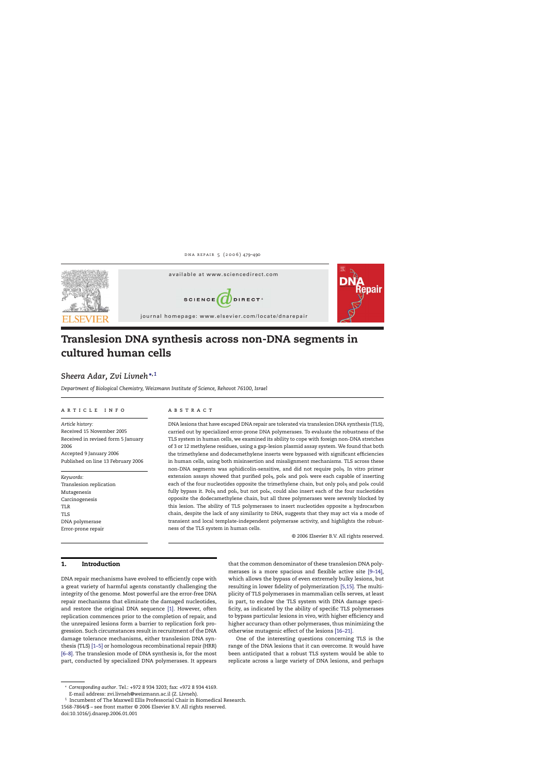

# **Translesion DNA synthesis across non-DNA segments in cultured human cells**

# *Sheera Adar, Zvi Livneh***∗,***<sup>1</sup>*

*Department of Biological Chemistry, Weizmann Institute of Science, Rehovot 76100, Israel*

#### article info

*Article history:* Received 15 November 2005 Received in revised form 5 January 2006 Accepted 9 January 2006 Published on line 13 February 2006

*Keywords:* Translesion replication Mutagenesis Carcinogenesis TLR TLS DNA polymerase Error-prone repair

# **ABSTRACT**

DNA lesions that have escaped DNA repair are tolerated via translesion DNA synthesis (TLS), carried out by specialized error-prone DNA polymerases. To evaluate the robustness of the TLS system in human cells, we examined its ability to cope with foreign non-DNA stretches of 3 or 12 methylene residues, using a gap-lesion plasmid assay system. We found that both the trimethylene and dodecamethylene inserts were bypassed with significant efficiencies in human cells, using both misinsertion and misalignment mechanisms. TLS across these non-DNA segments was aphidicolin-sensitive, and did not require poln. In vitro primer extension assays showed that purified pol $_\mathrm{\eta}$ , pol $_\mathrm{\kappa}$  and pol $_\mathrm{\kappa}$  were each capable of inserting each of the four nucleotides opposite the trimethylene chain, but only pol $_\mathrm{l}$  and pol $_\mathrm{k}$  could fully bypass it. Pol $_\mathrm{\eta}$  and polı, but not pol $_\mathrm{\kappa,}$  could also insert each of the four nucleotides opposite the dodecamethylene chain, but all three polymerases were severely blocked by this lesion. The ability of TLS polymerases to insert nucleotides opposite a hydrocarbon chain, despite the lack of any similarity to DNA, suggests that they may act via a mode of transient and local template-independent polymerase activity, and highlights the robustness of the TLS system in human cells.

© 2006 Elsevier B.V. All rights reserved.

# **1. Introduction**

DNA repair mechanisms have evolved to efficiently cope with a great variety of harmful agents constantly challenging the integrity of the genome. Most powerful are the error-free DNA repair mechanisms that eliminate the damaged nucleotides, and restore the original DNA sequence [\[1\].](#page-10-0) However, often replication commences prior to the completion of repair, and the unrepaired lesions form a barrier to replication fork progression. Such circumstances result in recruitment of the DNA damage tolerance mechanisms, either translesion DNA synthesis (TLS) [\[1–5\]](#page-10-0) or homologous recombinational repair (HRR) [\[6–8\]. T](#page-10-0)he translesion mode of DNA synthesis is, for the most part, conducted by specialized DNA polymerases. It appears

that the common denominator of these translesion DNA polymerases is a more spacious and flexible active site [\[9–14\],](#page-10-0) which allows the bypass of even extremely bulky lesions, but resulting in lower fidelity of polymerization [\[5,15\]. T](#page-10-0)he multiplicity of TLS polymerases in mammalian cells serves, at least in part, to endow the TLS system with DNA damage specificity, as indicated by the ability of specific TLS polymerases to bypass particular lesions in vivo, with higher efficiency and higher accuracy than other polymerases, thus minimizing the otherwise mutagenic effect of the lesions [\[16–21\].](#page-10-0)

One of the interesting questions concerning TLS is the range of the DNA lesions that it can overcome. It would have been anticipated that a robust TLS system would be able to replicate across a large variety of DNA lesions, and perhaps

<sup>∗</sup> *Corresponding author*. Tel.: +972 8 934 3203; fax: +972 8 934 4169. E-mail address: zvi.livneh@weizmann.ac.il (Z. Livneh).

<sup>1</sup> Incumbent of The Maxwell Ellis Professorial Chair in Biomedical Research. 1568-7864/\$ – see front matter © 2006 Elsevier B.V. All rights reserved. doi:10.1016/j.dnarep.2006.01.001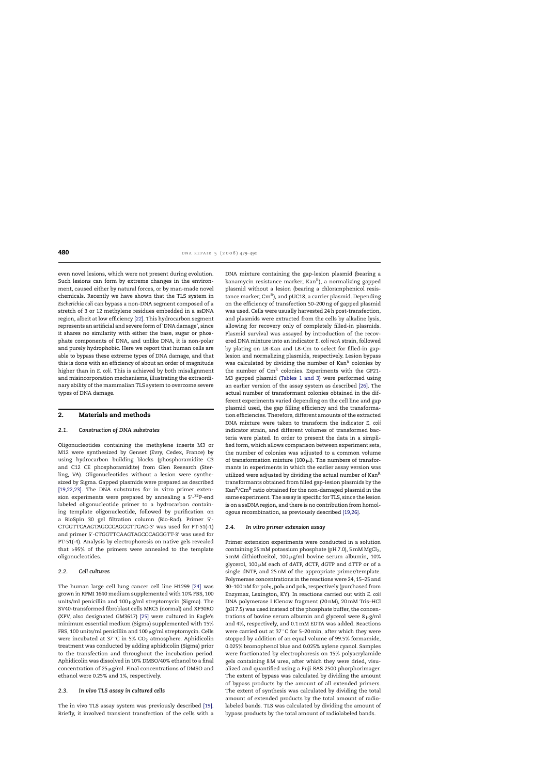<span id="page-1-0"></span>even novel lesions, which were not present during evolution. Such lesions can form by extreme changes in the environment, caused either by natural forces, or by man-made novel chemicals. Recently we have shown that the TLS system in *Escherichia coli* can bypass a non-DNA segment composed of a stretch of 3 or 12 methylene residues embedded in a ssDNA region, albeit at low efficiency [\[22\]. T](#page-11-0)his hydrocarbon segment represents an artificial and severe form of 'DNA damage', since it shares no similarity with either the base, sugar or phosphate components of DNA, and unlike DNA, it is non-polar and purely hydrophobic. Here we report that human cells are able to bypass these extreme types of DNA damage, and that this is done with an efficiency of about an order of magnitude higher than in *E. coli*. This is achieved by both misalignment and misincorporation mechanisms, illustrating the extraordinary ability of the mammalian TLS system to overcome severe types of DNA damage.

# **2. Materials and methods**

# *2.1. Construction of DNA substrates*

Oligonucleotides containing the methylene inserts M3 or M12 were synthesized by Genset (Evry, Cedex, France) by using hydrocarbon building blocks (phosphoramidite C3 and C12 CE phosphoramidite) from Glen Research (Sterling, VA). Oligonucleotides without a lesion were synthesized by Sigma. Gapped plasmids were prepared as described [\[19,22,23\].](#page-10-0) The DNA substrates for in vitro primer extension experiments were prepared by annealing a 5'-<sup>32</sup>P-end labeled oligonucleotide primer to a hydrocarbon containing template oligonucleotide, followed by purification on a BioSpin 30 gel filtration column (Bio-Rad). Primer 5′-CTGGTTCAAGTAGCCCAGGGTTGAC-3- was used for PT-51(-1) and primer 5′-CTGGTTCAAGTAGCCCAGGGTT-3′ was used for PT-51(-4). Analysis by electrophoresis on native gels revealed that >95% of the primers were annealed to the template oligonucleotides.

# *2.2. Cell cultures*

The human large cell lung cancer cell line H1299 [\[24\]](#page-11-0) was grown in RPMI 1640 medium supplemented with 10% FBS, 100 units/ml penicillin and 100  $\mu$ g/ml streptomycin (Sigma). The SV40-transformed fibroblast cells MRC5 (normal) and XP30RO (XPV, also designated GM3617) [\[25\]](#page-11-0) were cultured in Eagle's minimum essential medium (Sigma) supplemented with 15% FBS, 100 units/ml penicillin and 100  $\mu$ g/ml streptomycin. Cells were incubated at 37 $\degree$ C in 5% CO<sub>2</sub> atmosphere. Aphidicolin treatment was conducted by adding aphidicolin (Sigma) prior to the transfection and throughout the incubation period. Aphidicolin was dissolved in 10% DMSO/40% ethanol to a final concentration of 25  $\mu$ g/ml. Final concentrations of DMSO and ethanol were 0.25% and 1%, respectively.

#### *2.3. In vivo TLS assay in cultured cells*

The in vivo TLS assay system was previously described [\[19\].](#page-10-0) Briefly, it involved transient transfection of the cells with a DNA mixture containing the gap-lesion plasmid (bearing a kanamycin resistance marker; Kan $R$ ), a normalizing gapped plasmid without a lesion (bearing a chloramphenicol resistance marker; CmR), and pUC18, a carrier plasmid. Depending on the efficiency of transfection 50–200 ng of gapped plasmid was used. Cells were usually harvested 24 h post-transfection, and plasmids were extracted from the cells by alkaline lysis, allowing for recovery only of completely filled-in plasmids. Plasmid survival was assayed by introduction of the recovered DNA mixture into an indicator *E. coli recA* strain, followed by plating on LB-Kan and LB-Cm to select for filled-in gaplesion and normalizing plasmids, respectively. Lesion bypass was calculated by dividing the number of  $Kan<sup>R</sup>$  colonies by the number of  $\text{Cm}^R$  colonies. Experiments with the GP21-M3 gapped plasmid ([Tables 1 and 3\)](#page-2-0) were performed using an earlier version of the assay system as described [\[26\].](#page-11-0) The actual number of transformant colonies obtained in the different experiments varied depending on the cell line and gap plasmid used, the gap filling efficiency and the transformation efficiencies. Therefore, different amounts of the extracted DNA mixture were taken to transform the indicator *E. coli* indicator strain, and different volumes of transformed bacteria were plated. In order to present the data in a simplified form, which allows comparison between experiment sets, the number of colonies was adjusted to a common volume of transformation mixture (100  $\mu$ l). The numbers of transformants in experiments in which the earlier assay version was utilized were adjusted by dividing the actual number of  $Kan<sup>R</sup>$ transformants obtained from filled gap-lesion plasmids by the  $\text{Kan}^R/\text{Cm}^R$  ratio obtained for the non-damaged plasmid in the same experiment. The assay is specific for TLS, since the lesion is on a ssDNA region, and there is no contribution from homologous recombination, as previously described [\[19,26\].](#page-10-0)

#### *2.4. In vitro primer extension assay*

Primer extension experiments were conducted in a solution containing 25 mM potassium phosphate (pH 7.0), 5 mM MgCl<sub>2</sub>, 5 mM dithiothreitol,  $100 \mu$ g/ml bovine serum albumin,  $10\%$ glycerol, 100  $\mu$ M each of dATP, dCTP, dGTP and dTTP or of a single dNTP, and 25 nM of the appropriate primer/template. Polymerase concentrations in the reactions were 24, 15–25 and 30–100 nM for pol $_\mathrm{\eta}$ , pol $_\mathrm{\kappa}$  and pol $_\mathrm{\kappa}$ , respectively (purchased from Enzymax, Lexington, KY). In reactions carried out with *E. coli* DNA polymerase I Klenow fragment (20 nM), 20 mM Tris–HCl (pH 7.5) was used instead of the phosphate buffer, the concentrations of bovine serum albumin and glycerol were  $8 \mu g/ml$ and 4%, respectively, and 0.1 mM EDTA was added. Reactions were carried out at 37 ℃ for 5–20 min, after which they were stopped by addition of an equal volume of 99.5% formamide, 0.025% bromophenol blue and 0.025% xylene cyanol. Samples were fractionated by electrophoresis on 15% polyacrylamide gels containing 8 M urea, after which they were dried, visualized and quantified using a Fuji BAS 2500 phorphorimager. The extent of bypass was calculated by dividing the amount of bypass products by the amount of all extended primers. The extent of synthesis was calculated by dividing the total amount of extended products by the total amount of radiolabeled bands. TLS was calculated by dividing the amount of bypass products by the total amount of radiolabeled bands.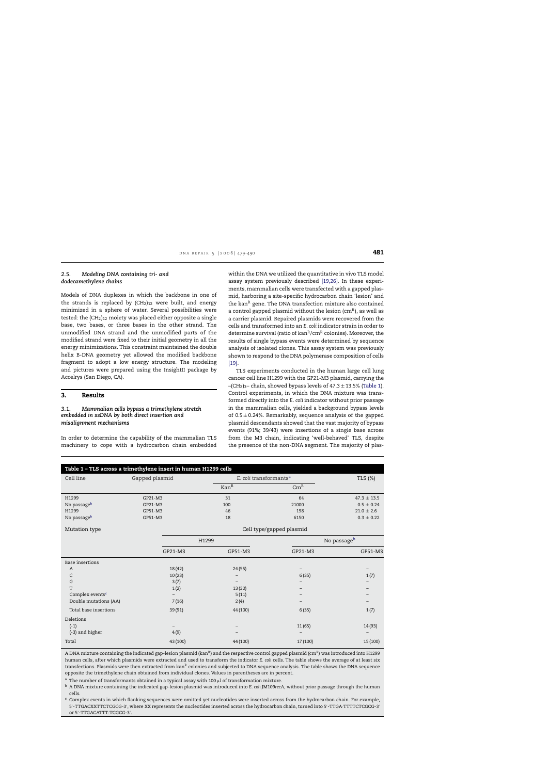#### <span id="page-2-0"></span>*2.5. Modeling DNA containing tri- and dodecamethylene chains*

Models of DNA duplexes in which the backbone in one of the strands is replaced by  $(CH_2)_{12}$  were built, and energy minimized in a sphere of water. Several possibilities were tested: the  $(CH<sub>2</sub>)<sub>12</sub>$  moiety was placed either opposite a single base, two bases, or three bases in the other strand. The unmodified DNA strand and the unmodified parts of the modified strand were fixed to their initial geometry in all the energy minimizations. This constraint maintained the double helix B-DNA geometry yet allowed the modified backbone fragment to adopt a low energy structure. The modeling and pictures were prepared using the InsightII package by Accelrys (San Diego, CA).

# **3. Results**

## *3.1. Mammalian cells bypass a trimethylene stretch embedded in ssDNA by both direct insertion and misalignment mechanisms*

In order to determine the capability of the mammalian TLS machinery to cope with a hydrocarbon chain embedded within the DNA we utilized the quantitative in vivo TLS model assay system previously described [\[19,26\].](#page-10-0) In these experiments, mammalian cells were transfected with a gapped plasmid, harboring a site-specific hydrocarbon chain 'lesion' and the kan<sup>R</sup> gene. The DNA transfection mixture also contained a control gapped plasmid without the lesion  $\rm (cm^R)$ , as well as a carrier plasmid. Repaired plasmids were recovered from the cells and transformed into an *E. coli* indicator strain in order to determine survival (ratio of kan<sup>R</sup>/cm<sup>R</sup> colonies). Moreover, the results of single bypass events were determined by sequence analysis of isolated clones. This assay system was previously shown to respond to the DNA polymerase composition of cells [\[19\].](#page-10-0)

TLS experiments conducted in the human large cell lung cancer cell line H1299 with the GP21-M3 plasmid, carrying the –(CH<sub>2</sub>)<sub>3</sub>– chain, showed bypass levels of  $47.3 \pm 13.5\%$  (Table 1). Control experiments, in which the DNA mixture was transformed directly into the *E. coli* indicator without prior passage in the mammalian cells, yielded a background bypass levels of  $0.5 \pm 0.24$ %. Remarkably, sequence analysis of the gapped plasmid descendants showed that the vast majority of bypass events (91%; 39/43) were insertions of a single base across from the M3 chain, indicating 'well-behaved' TLS, despite the presence of the non-DNA segment. The majority of plas-

| Table 1 - TLS across a trimethylene insert in human H1299 cells |                |                          |                                    |                 |  |
|-----------------------------------------------------------------|----------------|--------------------------|------------------------------------|-----------------|--|
| Cell line                                                       | Gapped plasmid |                          | E. coli transformants <sup>a</sup> | TLS (%)         |  |
|                                                                 |                | Kan <sup>R</sup>         | $\mathrm{Cm}^\mathrm{R}$           |                 |  |
| H1299                                                           | GP21-M3        | 31                       | 64                                 | $47.3 \pm 13.5$ |  |
| No passage <sup>b</sup>                                         | GP21-M3        | 100                      | 21000                              | $0.5 \pm 0.24$  |  |
| H1299                                                           | GP51-M3        | 46                       | 198                                | $21.0 \pm 2.6$  |  |
| No passageb                                                     | GP51-M3        | 18                       | 6150                               | $0.3 \pm 0.22$  |  |
| Mutation type                                                   |                | Cell type/gapped plasmid |                                    |                 |  |
|                                                                 |                | H1299                    |                                    | No passageb     |  |
|                                                                 | GP21-M3        | GP51-M3                  | GP21-M3                            | GP51-M3         |  |
| <b>Base insertions</b>                                          |                |                          |                                    |                 |  |
| A                                                               | 18 (42)        | 24(55)                   | $\qquad \qquad -$                  |                 |  |
| C                                                               | 10(23)         |                          | 6(35)                              | 1(7)            |  |
| G                                                               | 3(7)           |                          |                                    |                 |  |
| T                                                               | 1(2)           | 13(30)                   |                                    |                 |  |
| Complex events <sup>c</sup>                                     |                | 5(11)                    |                                    |                 |  |
| Double mutations (AA)                                           | 7(16)          | 2(4)                     |                                    |                 |  |
| Total base insertions                                           | 39(91)         | 44 (100)                 | 6(35)                              | 1(7)            |  |
| Deletions                                                       |                |                          |                                    |                 |  |
| $(-1)$                                                          |                |                          | 11(65)                             | 14 (93)         |  |
| (-3) and higher                                                 | 4(9)           |                          |                                    |                 |  |
| Total                                                           | 43 (100)       | 44 (100)                 | 17 (100)                           | 15 (100)        |  |

A DNA mixture containing the indicated gap-lesion plasmid (kan<sup>R</sup>) and the respective control gapped plasmid (cm<sup>R</sup>) was introduced into H1299 human cells, after which plasmids were extracted and used to transform the indicator *E. coli* cells. The table shows the average of at least six transfections. Plasmids were then extracted from kan<sup>R</sup> colonies and subjected to DNA sequence analysis. The table shows the DNA sequence opposite the trimethylene chain obtained from individual clones. Values in parentheses are in percent.

<sup>a</sup> The number of transformants obtained in a typical assay with 100  $\mu$ l of transformation mixture.

<sup>b</sup> A DNA mixture containing the indicated gap-lesion plasmid was introduced into *E. coli* JM109*recA*, without prior passage through the human cells.

<sup>c</sup> Complex events in which flanking sequences were omitted yet nucleotides were inserted across from the hydrocarbon chain. For example, 5'-TTGACXXTTCTCGCG-3', where XX represents the nucleotides inserted across the hydrocarbon chain, turned into 5'-TTGA-TTTTCTCGCG-3' or 5'-TTGACATTT-TCGCG-3'.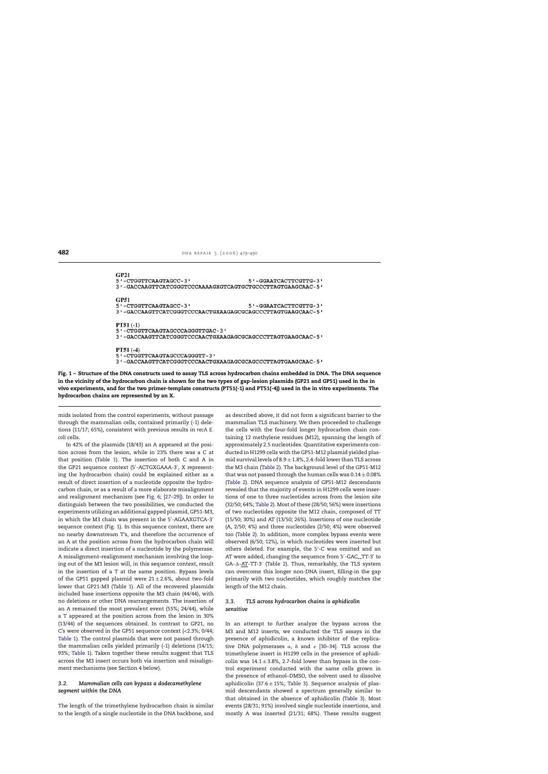<span id="page-3-0"></span>

| GP21<br>5'-CTGGTTCAAGTAGCC-3'<br>3'-GACCAAGTTCATCGGGTCCCAAAAGXGTCAGTGCTGCCCTTAGTGAAGCAAC-5'                                          | 5'-GGAATCACTTCGTTG-3' |
|--------------------------------------------------------------------------------------------------------------------------------------|-----------------------|
| GP51<br>5'-CTGGTTCAAGTAGCC-3'<br>3'-GACCAAGTTCATCGGGTCCCAACTGXAAGAGCGCAGCCCTTAGTGAAGCAAC-5'                                          | 5'-GGAATCACTTCGTTG-3' |
| <b>PT51 <math>(-1)</math></b><br>5 ' - CTGGTTCAAGTAGCCCAGGGTTGAC - 3 '<br>3'-GACCAAGTTCATCGGGTCCCAACTGXAAGAGCGCAGCCCTTAGTGAAGCAAC-5' |                       |
| $PT51(-4)$<br>5'-CTGGTTCAAGTAGCCCAGGGTT-3'<br>3'-GACCAAGTTCATCGGGTCCCAACTGXAAGAGCGCAGCCCTTAGTGAAGCAAC-5'                             |                       |

**Fig. 1 – Structure of the DNA constructs used to assay TLS across hydrocarbon chains embedded in DNA. The DNA sequence in the vicinity of the hydrocarbon chain is shown for the two types of gap-lesion plasmids (GP21 and GP51) used in the in vivo experiments, and for the two primer-template constructs (PT51(-1) and PT51(-4)) used in the in vitro experiments. The hydrocarbon chains are represented by an X.**

mids isolated from the control experiments, without passage through the mammalian cells, contained primarily (-1) deletions (11/17; 65%), consistent with previous results in *recA E. coli* cells.

In 42% of the plasmids (18/43) an A appeared at the position across from the lesion, while in 23% there was a C at that position ([Table 1\).](#page-2-0) The insertion of both C and A in the GP21 sequence context (5′-ACTGXGAAA-3′, X representing the hydrocarbon chain) could be explained either as a result of direct insertion of a nucleotide opposite the hydrocarbon chain, or as a result of a more elaborate misalignment and realignment mechanism (see [Fig. 6;](#page-9-0) [\[27–29\]\).](#page-11-0) In order to distinguish between the two possibilities, we conducted the experiments utilizing an additional gapped plasmid, GP51-M3, in which the M3 chain was present in the 5′-AGAAXGTCA-3′ sequence context (Fig. 1). In this sequence context, there are no nearby downstream T's, and therefore the occurrence of an A at the position across from the hydrocarbon chain will indicate a direct insertion of a nucleotide by the polymerase. A misalignment–realignment mechanism involving the looping out of the M3 lesion will, in this sequence context, result in the insertion of a T at the same position. Bypass levels of the GP51 gapped plasmid were  $21 \pm 2.6$ %, about two-fold lower that GP21-M3 ([Table 1\).](#page-2-0) All of the recovered plasmids included base insertions opposite the M3 chain (44/44), with no deletions or other DNA rearrangements. The insertion of an A remained the most prevalent event (55%; 24/44), while a T appeared at the position across from the lesion in 30% (13/44) of the sequences obtained. In contrast to GP21, no C's were observed in the GP51 sequence context (<2.3%; 0/44; [Table 1\).](#page-2-0) The control plasmids that were not passed through the mammalian cells yielded primarily (-1) deletions (14/15; 93%; [Table 1\).](#page-2-0) Taken together these results suggest that TLS across the M3 insert occurs both via insertion and misalignment mechanisms (see Section [4](#page-5-0) below).

# *3.2. Mammalian cells can bypass a dodecamethylene segment within the DNA*

The length of the trimethylene hydrocarbon chain is similar to the length of a single nucleotide in the DNA backbone, and as described above, it did not form a significant barrier to the mammalian TLS machinery. We then proceeded to challenge the cells with the four-fold longer hydrocarbon chain containing 12 methylene residues (M12), spanning the length of approximately 2.5 nucleotides. Quantitative experiments conducted in H1299 cells with the GP51-M12 plasmid yielded plasmid survival levels of  $8.9 \pm 1.8$ %, 2.4-fold lower than TLS across the M3 chain ([Table 2\).](#page-4-0) The background level of the GP51-M12 that was not passed through the human cells was  $0.14 \pm 0.08\%$ ([Table 2\).](#page-4-0) DNA sequence analysis of GP51-M12 descendants revealed that the majority of events in H1299 cells were insertions of one to three nucleotides across from the lesion site (32/50; 64%; [Table 2\).](#page-4-0) Most of these (28/50; 56%) were insertions of two nucleotides opposite the M12 chain, composed of TT (15/50; 30%) and AT (13/50; 26%). Insertions of one nucleotide (A, 2/50; 4%) and three nucleotides (2/50; 4%) were observed too [\(Table 2\).](#page-4-0) In addition, more complex bypass events were observed (6/50; 12%), in which nucleotides were inserted but others deleted. For example, the 5′-C was omitted and an AT were added, changing the sequence from 5′-GAC\_.TT-3′ to GA-∆-<u>AT</u>-TT-3′ [\(Table 2\).](#page-4-0) Thus, remarkably, the TLS system can overcome this longer non-DNA insert, filling-in the gap primarily with two nucleotides, which roughly matches the length of the M12 chain.

# *3.3. TLS across hydrocarbon chains is aphidicolin sensitive*

In an attempt to further analyze the bypass across the M3 and M12 inserts, we conducted the TLS assays in the presence of aphidicolin, a known inhibitor of the replicative DNA polymerases  $\alpha$ ,  $\delta$  and  $\varepsilon$  [\[30–34\].](#page-11-0) TLS across the trimethylene insert in H1299 cells in the presence of aphidicolin was  $14.1 \pm 3.8$ %, 2.7-fold lower than bypass in the control experiment conducted with the same cells grown in the presence of ethanol–DMSO, the solvent used to dissolve aphidicolin (37.6 $\pm$ 15%; [Table 3\).](#page-5-0) Sequence analysis of plasmid descendants showed a spectrum generally similar to that obtained in the absence of aphidicolin [\(Table 3\).](#page-5-0) Most events (28/31; 91%) involved single nucleotide insertions, and mostly A was inserted (21/31; 68%). These results suggest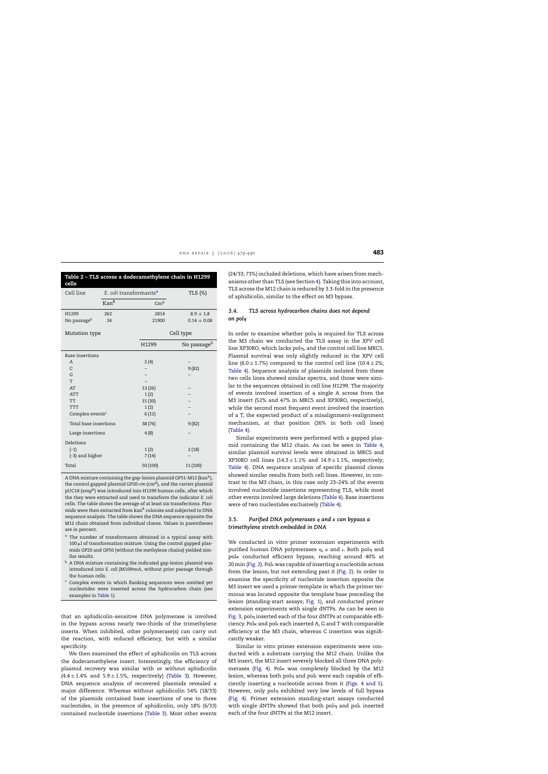<span id="page-4-0"></span>

| Table 2 - TLS across a dodecamethylene chain in H1299<br>cells |                  |                                    |                         |  |  |
|----------------------------------------------------------------|------------------|------------------------------------|-------------------------|--|--|
| Cell line                                                      |                  | E. coli transformants <sup>a</sup> | TLS (%)                 |  |  |
|                                                                | Kan <sup>R</sup> | Cm <sup>R</sup>                    |                         |  |  |
| H1299                                                          | 262              | 2814                               | $8.9 \pm 1.8$           |  |  |
| No passageb                                                    | 24               | 21900                              | $0.14 \pm 0.08$         |  |  |
| Mutation type                                                  |                  |                                    | Cell type               |  |  |
|                                                                |                  | H1299                              | No passage <sup>b</sup> |  |  |
| Base insertions                                                |                  |                                    |                         |  |  |
| A                                                              |                  | 2(4)                               |                         |  |  |
| $\mathsf{C}$                                                   |                  |                                    | 9(82)                   |  |  |
| G                                                              |                  |                                    |                         |  |  |
| T                                                              |                  |                                    |                         |  |  |
| AT                                                             |                  |                                    |                         |  |  |
| <b>ATT</b>                                                     |                  | 1(2)                               |                         |  |  |
| TT                                                             |                  | 15 (30)                            |                         |  |  |
| <b>TTT</b>                                                     |                  | 1(2)                               |                         |  |  |
| Complex events <sup>c</sup>                                    |                  | 6(12)                              |                         |  |  |
| Total base insertions                                          |                  | 38(76)                             | 9(82)                   |  |  |
| Large insertions                                               |                  | 4(8)                               |                         |  |  |
| Deletions                                                      |                  |                                    |                         |  |  |
| $(-1)$                                                         |                  | 1(2)                               | 2(18)                   |  |  |
| (-3) and higher                                                |                  | 7(14)                              |                         |  |  |
| Total                                                          |                  | 50 (100)                           | 11 (100)                |  |  |

A DNA mixture containing the gap-lesion plasmid GP51-M12 (kan<sup>R</sup>), the control gapped plasmid GP20-*cm* (cm<sup>R</sup>), and the carrier plasmid pUC18 (amp<sup>R</sup>) was introduced into H1299 human cells, after which the they were extracted and used to transform the indicator *E. coli* cells. The table shows the average of at least six transfections. Plasmids were then extracted from kan<sup>R</sup> colonies and subjected to DNA sequence analysis. The table shows the DNA sequence opposite the M12 chain obtained from individual clones. Values in parentheses are in percent.

- a The number of transformants obtained in a typical assay with  $100 \mu$ l of transformation mixture. Using the control gapped plasmids GP20 and GP50 (without the methylene chains) yielded similar results.
- **b** A DNA mixture containing the indicated gap-lesion plasmid was introduced into *E. coli* JM109*recA*, without prior passage through the human cells.
- $c$  Complex events in which flanking sequences were omitted yet nucleotides were inserted across the hydrocarbon chain (see examples in [Table 1\).](#page-2-0)

that an aphidicolin-sensitive DNA polymerase is involved in the bypass across nearly two-thirds of the trimethylene inserts. When inhibited, other polymerase(s) can carry out the reaction, with reduced efficiency, but with a similar specificity.

We then examined the effect of aphidicolin on TLS across the dodecamethylene insert. Interestingly, the efficiency of plasmid recovery was similar with or without aphidicolin  $(4.4 \pm 1.4\%$  and  $5.9 \pm 1.5\%$ , respectively) ([Table 3\).](#page-5-0) However, DNA sequence analysis of recovered plasmids revealed a major difference. Whereas without aphidicolin 54% (18/33) of the plasmids contained base insertions of one to three nucleotides, in the presence of aphidicolin, only 18% (6/33) contained nucleotide insertions [\(Table 3\).](#page-5-0) Most other events

(24/33; 73%) included deletions, which have arisen from mechanisms other than TLS (see Section [4\).](#page-5-0) Taking this into account, TLS across the M12 chain is reduced by 3.3-fold in the presence of aphidicolin, similar to the effect on M3 bypass.

# *3.4. TLS across hydrocarbon chains does not depend on pol*

In order to examine whether pol<sub>n</sub> is required for TLS across the M3 chain we conducted the TLS assay in the *XPV* cell line XP30RO, which lacks pol $\eta$ , and the control cell line MRC5. Plasmid survival was only slightly reduced in the XPV cell line (6.0  $\pm$  1.7%) compared to the control cell line (10.4  $\pm$  2%; [Table 4\).](#page-8-0) Sequence analysis of plasmids isolated from these two cells lines showed similar spectra, and those were similar to the sequences obtained in cell line H1299. The majority of events involved insertion of a single A across from the M3 insert (52% and 47% in MRC5 and XP30RO, respectively), while the second most frequent event involved the insertion of a T, the expected product of a misalignment–realignment mechanism, at that position (26% in both cell lines) ([Table 4\).](#page-8-0)

Similar experiments were performed with a gapped plasmid containing the M12 chain. As can be seen in [Table 4,](#page-8-0) similar plasmid survival levels were obtained in MRC5 and XP30RO cell lines  $(14.3 \pm 1.1\%$  and  $14.9 \pm 1.1\%$ , respectively; [Table 4\).](#page-8-0) DNA sequence analysis of specific plasmid clones showed similar results from both cell lines. However, in contrast to the M3 chain, in this case only 23–24% of the events involved nucleotide insertions representing TLS, while most other events involved large deletions ([Table 4\).](#page-8-0) Base insertions were of two nucleotides exclusively [\(Table 4\).](#page-8-0)

#### *3.5. Purified DNA polymerases and* **-** *can bypass a trimethylene stretch embedded in DNA*

We conducted in vitro primer extension experiments with purified human DNA polymerases  $\eta$ ,  $\kappa$  and  $\iota$ . Both pol $\eta$  and pol<sub>K</sub> conducted efficient bypass, reaching around 40% at 20 min [\(Fig. 2\).](#page-6-0) Pol. was capable of inserting a nucleotide across from the lesion, but not extending past it [\(Fig. 2\).](#page-6-0) In order to examine the specificity of nucleotide insertion opposite the M3 insert we used a primer-template in which the primer terminus was located opposite the template base preceding the lesion (standing-start assays; [Fig. 1\),](#page-3-0) and conducted primer extension experiments with single dNTPs. As can be seen in [Fig. 3, p](#page-6-0)oln inserted each of the four dNTPs at comparable efficiency. Pol $\kappa$  and pol، each inserted A, G and T with comparable efficiency at the M3 chain, whereas C insertion was significantly weaker.

Similar in vitro primer extension experiments were conducted with a substrate carrying the M12 chain. Unlike the M3 insert, the M12 insert severely blocked all three DNA poly-merases [\(Fig. 4\)](#page-7-0). Pol $\kappa$  was completely blocked by the M12 lesion, whereas both pol<sub>n</sub> and pol were each capable of efficiently inserting a nucleotide across from it ([Figs. 4 and 5\)](#page-7-0). However, only poln exhibited very low levels of full bypass ([Fig. 4\).](#page-7-0) Primer extension standing-start assays conducted with single dNTPs showed that both pol<sub>n</sub> and poli inserted each of the four dNTPs at the M12 insert.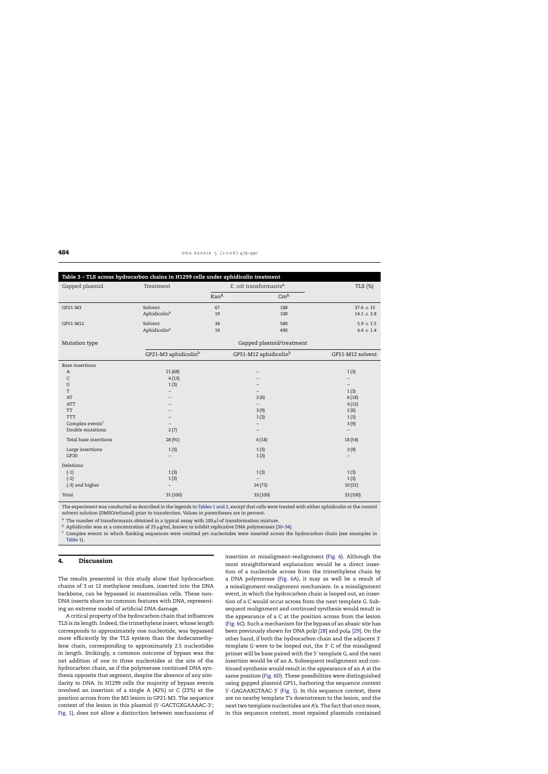<span id="page-5-0"></span>

| Table 3 - TLS across hydrocarbon chains in H1299 cells under aphidicolin treatment |                                  |                                    |                                   |                                 |  |
|------------------------------------------------------------------------------------|----------------------------------|------------------------------------|-----------------------------------|---------------------------------|--|
| Gapped plasmid                                                                     | Treatment                        | E. coli transformants <sup>a</sup> |                                   | TLS (%)                         |  |
|                                                                                    |                                  | Kan <sup>R</sup>                   | $\rm{Cm}^R$                       |                                 |  |
| GP21-M3                                                                            | Solvent<br>Aphidicolinb          | 67<br>19                           | 188<br>100                        | $37.6 \pm 15$<br>$14.1 \pm 3.8$ |  |
| GP51-M12                                                                           | Solvent<br>Aphidicolinb          | 34<br>19                           | 580<br>490                        | $5.9 \pm 1.5$<br>$4.4 \pm 1.4$  |  |
| Mutation type                                                                      |                                  | Gapped plasmid/treatment           |                                   |                                 |  |
|                                                                                    | GP21-M3 aphidicolin <sup>b</sup> |                                    | GP51-M12 aphidicolin <sup>b</sup> | GP51-M12 solvent                |  |
| <b>Base insertions</b>                                                             |                                  |                                    |                                   |                                 |  |
| $\boldsymbol{A}$                                                                   | 21(68)                           |                                    |                                   | 1(3)                            |  |
| C                                                                                  | 4(13)                            |                                    |                                   |                                 |  |
| G                                                                                  | 1(3)                             |                                    |                                   |                                 |  |
| T                                                                                  |                                  |                                    |                                   | 1(3)                            |  |
| AT                                                                                 |                                  |                                    | 2(6)                              | 6(18)                           |  |
| <b>ATT</b>                                                                         |                                  |                                    |                                   | 4(12)                           |  |
| <b>TT</b>                                                                          |                                  |                                    | 3(9)                              | 2(6)                            |  |
| <b>TTT</b>                                                                         |                                  |                                    | 1(3)                              | 1(3)                            |  |
| Complex events <sup>c</sup>                                                        |                                  |                                    | -                                 | 3(9)                            |  |
| Double mutations                                                                   | 2(7)                             |                                    | $\overline{\phantom{a}}$          | $\overline{\phantom{0}}$        |  |
| Total base insertions                                                              | 28 (91)                          |                                    | 6(18)                             | 18 (54)                         |  |
| Large insertions<br>GP20                                                           | 1(3)                             |                                    | 1(3)<br>1(3)                      | 3(9)                            |  |
| Deletions                                                                          |                                  |                                    |                                   |                                 |  |
| $(-1)$                                                                             | 1(3)                             |                                    | 1(3)                              | 1(3)                            |  |
| $(-2)$                                                                             | 1(3)                             |                                    |                                   | 1(3)                            |  |
| (-3) and higher                                                                    |                                  |                                    | 24(73)                            | 10(31)                          |  |
| Total                                                                              | 31 (100)                         |                                    | 33 (100)                          | 33 (100)                        |  |

The experiment was conducted as described in the legends to [Tables 1 and 2, e](#page-2-0)xcept that cells were treated with either aphidicolin or the control solvent solution (DMSO/ethanol) prior to transfection. Values in parentheses are in percent.

<sup>a</sup> The number of transformants obtained in a typical assay with 100  $\mu$ l of transformation mixture.

 $^{\rm b}$  Aphidicolin was at a concentration of 25 µg/ml, known to inhibit replicative DNA polymerases [\[30–34\].](#page-11-0)

<sup>c</sup> Complex events in which flanking sequences were omitted yet nucleotides were inserted across the hydrocarbon chain (see examples in [Table 1\).](#page-2-0)

# **4. Discussion**

The results presented in this study show that hydrocarbon chains of 3 or 12 methylene residues, inserted into the DNA backbone, can be bypassed in mammalian cells. These non-DNA inserts share no common features with DNA, representing an extreme model of artificial DNA damage.

A critical property of the hydrocarbon chain that influences TLS is its length. Indeed, the trimethylene insert, whose length corresponds to approximately one nucleotide, was bypassed more efficiently by the TLS system than the dodecamethylene chain, corresponding to approximately 2.5 nucleotides in length. Strikingly, a common outcome of bypass was the net addition of one to three nucleotides at the site of the hydrocarbon chain, as if the polymerase continued DNA synthesis opposite that segment, despite the absence of any similarity to DNA. In H1299 cells the majority of bypass events involved an insertion of a single A (42%) or C (23%) at the position across from the M3 lesion in GP21-M3. The sequence context of the lesion in this plasmid (5′-GACTGXGAAAAC-3′; [Fig. 1\),](#page-3-0) does not allow a distinction between mechanisms of insertion or misaligment–realignment ([Fig. 6\).](#page-9-0) Although the most straightforward explanation would be a direct insertion of a nucleotide across from the trimethylene chain by a DNA polymerase [\(Fig. 6A](#page-9-0)), it may as well be a result of a misalignment–realignment mechanism. In a misalignment event, in which the hydrocarbon chain is looped out, an insertion of a C would occur across from the next template G. Subsequent realignment and continued synthesis would result in the appearance of a C at the position across from the lesion ([Fig. 6C\)](#page-9-0). Such a mechanism for the bypass of an abasic site has been previously shown for DNA pol $\beta$  [\[28\]](#page-11-0) and pol $\mu$  [\[29\]. O](#page-11-0)n the other hand, if both the hydrocarbon chain and the adjacent 3 template G were to be looped out, the 3′ C of the misaligned primer will be base paired with the 5′ template G, and the next insertion would be of an A. Subsequent realignment and continued synthesis would result in the appearance of an A at the same position [\(Fig. 6D](#page-9-0)). These possibilities were distinguished using gapped plasmid GP51, harboring the sequence context 5′-GAGAAXGTAAC-3′ [\(Fig. 1\).](#page-3-0) In this sequence context, there are no nearby template T's downstream to the lesion, and the next two template nucleotides are A's. The fact that once more, in this sequence context, most repaired plasmids contained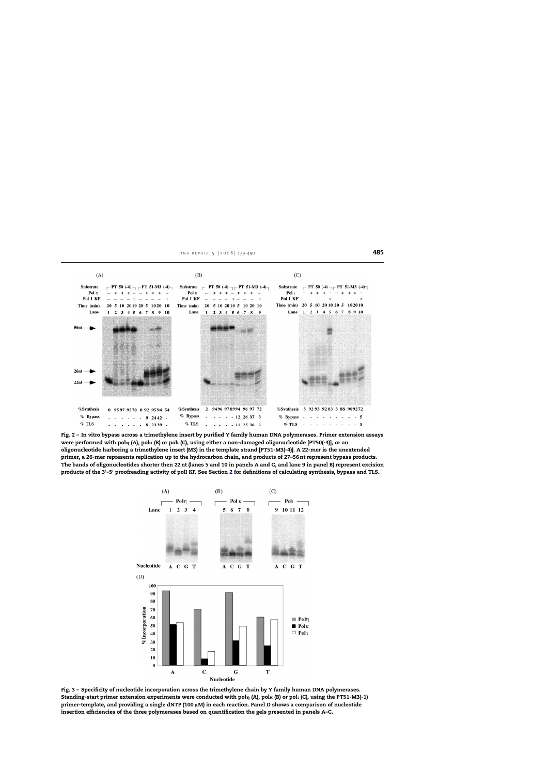<span id="page-6-0"></span>

**Fig. 2 – In vitro bypass across a trimethylene insert by purified Y family human DNA polymerases. Primer extension assays** were performed with polŋ (A), polĸ (B) or pol̥ (C), using either a non-damaged oligonucleotide [PT50(-4)], or an **oligonucleotide harboring a trimethylene insert (M3) in the template strand [PT51-M3(-4)]. A 22-mer is the unextended primer, a 26-mer represents replication up to the hydrocarbon chain, and products of 27–56 nt represent bypass products. The bands of oligonucleotides shorter then 22 nt (lanes 5 and 10 in panels A and C, and lane 9 in panel B) represent excision products of the 3- –5- proofreading activity of polI KF. See Section [2](#page-1-0) for definitions of calculating synthesis, bypass and TLS.**



**Fig. 3 – Specificity of nucleotide incorporation across the trimethylene chain by Y family human DNA polymerases.** Standing-start primer extension experiments were conducted with pol<sub>1</sub> (A), pol<sub>'</sub>. (B) or pol<sub>'</sub>. (C), using the PT51-M3(-1) **primer-template, and providing a single dNTP (100 M) in each reaction. Panel D shows a comparison of nucleotide insertion efficiencies of the three polymerases based on quantification the gels presented in panels A–C.**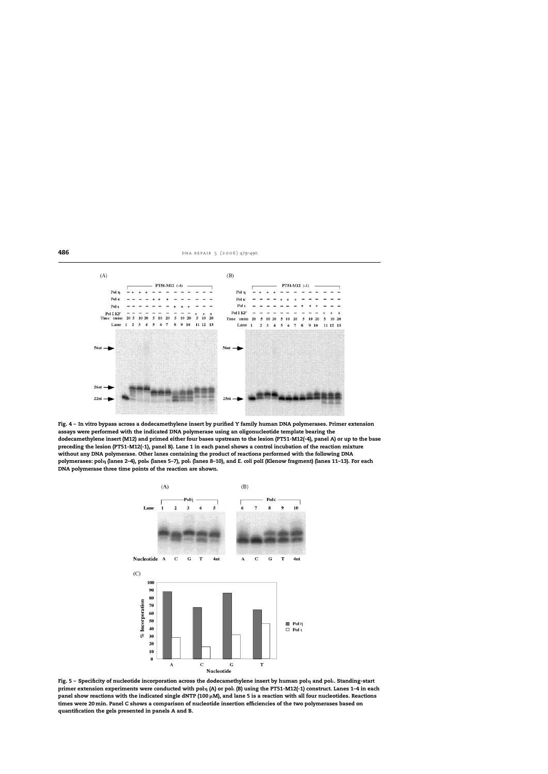<span id="page-7-0"></span>

**Fig. 4 – In vitro bypass across a dodecamethylene insert by purified Y family human DNA polymerases. Primer extension assays were performed with the indicated DNA polymerase using an oligonucleotide template bearing the dodecamethylene insert (M12) and primed either four bases upstream to the lesion (PT51-M12(-4), panel A) or up to the base preceding the lesion (PT51-M12(-1), panel B). Lane 1 in each panel shows a control incubation of the reaction mixture without any DNA polymerase. Other lanes containing the product of reactions performed with the following DNA** polymerases: polղ (lanes 2–4), polռ (lanes 5–7), polւ (lanes 8–10), and E. coli polI (Klenow fragment) (lanes 11–13). For each **DNA polymerase three time points of the reaction are shown.**



Fig. 5 - Specificity of nucleotide incorporation across the dodecamethylene insert by human pol<sub>1</sub> and pol<sub>1</sub>. Standing-start **primer extension experiments were conducted with pol (A) or pol (B) using the PT51-M12(-1) construct. Lanes 1–4 in each panel show reactions with the indicated single dNTP (100 M), and lane 5 is a reaction with all four nucleotides. Reactions times were 20min. Panel C shows a comparison of nucleotide insertion efficiencies of the two polymerases based on quantification the gels presented in panels A and B.**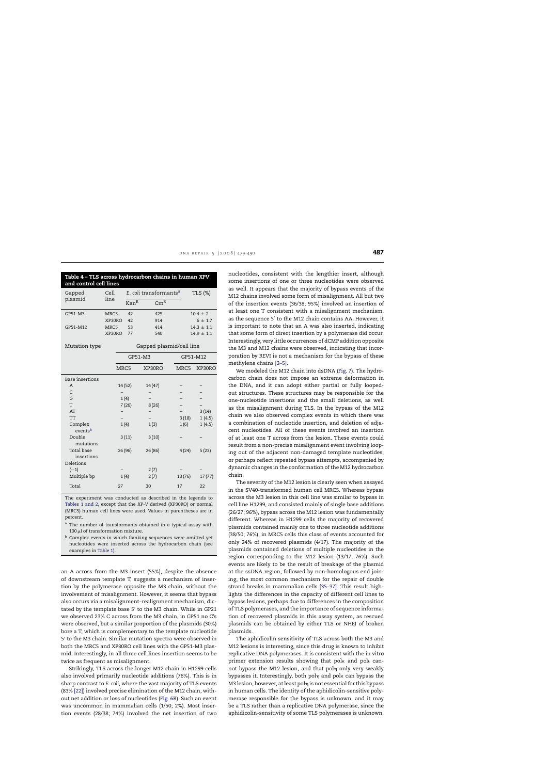<span id="page-8-0"></span>

| Table 4 - TLS across hydrocarbon chains in human XPV<br>and control cell lines |                          |                                    |                 |          |                |  |
|--------------------------------------------------------------------------------|--------------------------|------------------------------------|-----------------|----------|----------------|--|
| Gapped                                                                         | Cell                     | E. coli transformants <sup>a</sup> |                 |          | TLS (%)        |  |
| plasmid                                                                        | line                     | Kan <sup>R</sup>                   | Cm <sup>R</sup> |          |                |  |
| GP51-M3                                                                        | MRC5                     | 42                                 | 425             |          | $10.4 \pm 2$   |  |
|                                                                                | XP30RO                   | 42                                 | 914             |          | $6 \pm 1.7$    |  |
| GP51-M12                                                                       | MRC5                     | 53                                 | 414             |          | $14.3 \pm 1.1$ |  |
|                                                                                | XP30RO                   | 77                                 | 540             |          | $14.9 \pm 1.1$ |  |
| Mutation type                                                                  | Gapped plasmid/cell line |                                    |                 |          |                |  |
|                                                                                |                          | GP51-M3                            |                 | GP51-M12 |                |  |
|                                                                                | MRC5                     |                                    | XP30RO          | MRC5     | XP30RO         |  |
| <b>Base insertions</b>                                                         |                          |                                    |                 |          |                |  |
| A                                                                              |                          | 14 (52)                            | 14(47)          |          |                |  |
| $\mathsf{C}$                                                                   |                          |                                    |                 |          |                |  |
| G                                                                              |                          | 1(4)                               |                 |          |                |  |
| Т                                                                              |                          | 7(26)                              | 8(26)           |          |                |  |
| AT                                                                             |                          |                                    |                 |          | 3(14)          |  |
| <b>TT</b>                                                                      |                          |                                    |                 | 3(18)    | 1(4.5)         |  |
| Complex<br>eventsb                                                             |                          | 1(4)                               | 1(3)            | 1(6)     | 1(4.5)         |  |
| Double<br>mutations                                                            |                          | 3(11)                              | 3(10)           |          |                |  |
| <b>Total</b> base<br>insertions                                                |                          | 26 (96)                            | 26 (86)         | 4(24)    | 5(23)          |  |
| Deletions                                                                      |                          |                                    |                 |          |                |  |
| $(-1)$                                                                         |                          |                                    | 2(7)            |          |                |  |
| Multiple bp                                                                    |                          | 1(4)                               | 2(7)            | 13(76)   | 17(77)         |  |
| Total                                                                          | 27                       |                                    | 30              | 17       | 22             |  |

The experiment was conducted as described in the legends to [Tables 1 and 2,](#page-2-0) except that the *XP-V* derived (XP30RO) or normal (MRC5) human cell lines were used. Values in parentheses are in percent.

- a The number of transformants obtained in a typical assay with 100 ul of transformation mixture.
- **b** Complex events in which flanking sequences were omitted yet nucleotides were inserted across the hydrocarbon chain (see examples in [Table 1\).](#page-2-0)

an A across from the M3 insert (55%), despite the absence of downstream template T, suggests a mechanism of insertion by the polymerase opposite the M3 chain, without the involvement of misalignment. However, it seems that bypass also occurs via a misalignment–realignment mechanism, dictated by the template base 5′ to the M3 chain. While in GP21 we observed 23% C across from the M3 chain, in GP51 no C's were observed, but a similar proportion of the plasmids (30%) bore a T, which is complementary to the template nucleotide 5′ to the M3 chain. Similar mutation spectra were observed in both the MRC5 and XP30RO cell lines with the GP51-M3 plasmid. Interestingly, in all three cell lines insertion seems to be twice as frequent as misalignment.

Strikingly, TLS across the longer M12 chain in H1299 cells also involved primarily nucleotide additions (76%). This is in sharp contrast to *E. coli*, where the vast majority of TLS events (83% [\[22\]\) i](#page-11-0)nvolved precise elimination of the M12 chain, without net addition or loss of nucleotides [\(Fig. 6B](#page-9-0)). Such an event was uncommon in mammalian cells (1/50; 2%). Most insertion events (28/38; 74%) involved the net insertion of two nucleotides, consistent with the lengthier insert, although some insertions of one or three nucleotides were observed as well. It appears that the majority of bypass events of the M12 chains involved some form of misalignment. All but two of the insertion events (36/38; 95%) involved an insertion of at least one T consistent with a misalignment mechanism, as the sequence 5′ to the M12 chain contains AA. However, it is important to note that an A was also inserted, indicating that some form of direct insertion by a polymerase did occur. Interestingly, very little occurrences of dCMP addition opposite the M3 and M12 chains were observed, indicating that incorporation by REVI is not a mechanism for the bypass of these methylene chains [\[2–5\].](#page-10-0)

We modeled the M12 chain into dsDNA [\(Fig. 7\).](#page-10-0) The hydrocarbon chain does not impose an extreme deformation in the DNA, and it can adopt either partial or fully loopedout structures. These structures may be responsible for the one-nucleotide insertions and the small deletions, as well as the misalignment during TLS. In the bypass of the M12 chain we also observed complex events in which there was a combination of nucleotide insertion, and deletion of adjacent nucleotides. All of these events involved an insertion of at least one T across from the lesion. These events could result from a non-precise misalignment event involving looping out of the adjacent non-damaged template nucleotides, or perhaps reflect repeated bypass attempts, accompanied by dynamic changes in the conformation of the M12 hydrocarbon chain.

The severity of the M12 lesion is clearly seen when assayed in the SV40-transformed human cell MRC5. Whereas bypass across the M3 lesion in this cell line was similar to bypass in cell line H1299, and consisted mainly of single base additions (26/27; 96%), bypass across the M12 lesion was fundamentally different. Whereas in H1299 cells the majority of recovered plasmids contained mainly one to three nucleotide additions (38/50; 76%), in MRC5 cells this class of events accounted for only 24% of recovered plasmids (4/17). The majority of the plasmids contained deletions of multiple nucleotides in the region corresponding to the M12 lesion (13/17; 76%). Such events are likely to be the result of breakage of the plasmid at the ssDNA region, followed by non-homologous end joining, the most common mechanism for the repair of double strand breaks in mammalian cells [\[35–37\].](#page-11-0) This result highlights the differences in the capacity of different cell lines to bypass lesions, perhaps due to differences in the composition of TLS polymerases, and the importance of sequence information of recovered plasmids in this assay system, as rescued plasmids can be obtained by either TLS or NHEJ of broken plasmids.

The aphidicolin sensitivity of TLS across both the M3 and M12 lesions is interesting, since this drug is known to inhibit replicative DNA polymerases. It is consistent with the in vitro primer extension results showing that pol $\kappa$  and pol $\iota$  cannot bypass the M12 lesion, and that pol<sub>n</sub> only very weakly bypasses it. Interestingly, both pol $_\mathrm{\eta}$  and pol $_\mathrm{\kappa}$  can bypass the M3 lesion, however, at least pol $\eta$  is not essential for this bypass in human cells. The identity of the aphidicolin-sensitive polymerase responsible for the bypass is unknown, and it may be a TLS rather than a replicative DNA polymerase, since the aphidicolin-sensitivity of some TLS polymerases is unknown.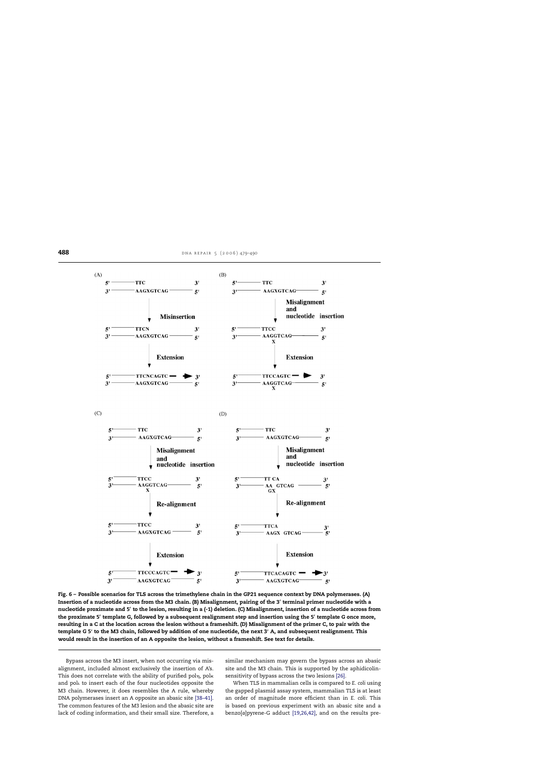<span id="page-9-0"></span>

**Fig. 6 – Possible scenarios for TLS across the trimethylene chain in the GP21 sequence context by DNA polymerases. (A) Insertion of a nucleotide across from the M3 chain. (B) Misalignment, pairing of the 3- terminal primer nucleotide with a nucleotide proximate and 5- to the lesion, resulting in a (-1) deletion. (C) Misalignment, insertion of a nucleotide across from the proximate 5- template G, followed by a subsequent realignment step and insertion using the 5- template G once more, resulting in a C at the location across the lesion without a frameshift. (D) Misalignment of the primer C, to pair with the template G 5- to the M3 chain, followed by addition of one nucleotide, the next 3- A, and subsequent realignment. This would result in the insertion of an A opposite the lesion, without a frameshift. See text for details.**

Bypass across the M3 insert, when not occurring via misalignment, included almost exclusively the insertion of A's. This does not correlate with the ability of purified pol $_\mathrm{\eta,~pol}$ к and polt to insert each of the four nucleotides opposite the M3 chain. However, it does resembles the A rule, whereby DNA polymerases insert an A opposite an abasic site [\[38–41\].](#page-11-0) The common features of the M3 lesion and the abasic site are lack of coding information, and their small size. Therefore, a similar mechanism may govern the bypass across an abasic site and the M3 chain. This is supported by the aphidicolinsensitivity of bypass across the two lesions [\[26\].](#page-11-0)

When TLS in mammalian cells is compared to *E. coli* using the gapped plasmid assay system, mammalian TLS is at least an order of magnitude more efficient than in *E. coli*. This is based on previous experiment with an abasic site and a benzo[*a*]pyrene-G adduct [\[19,26,42\],](#page-10-0) and on the results pre-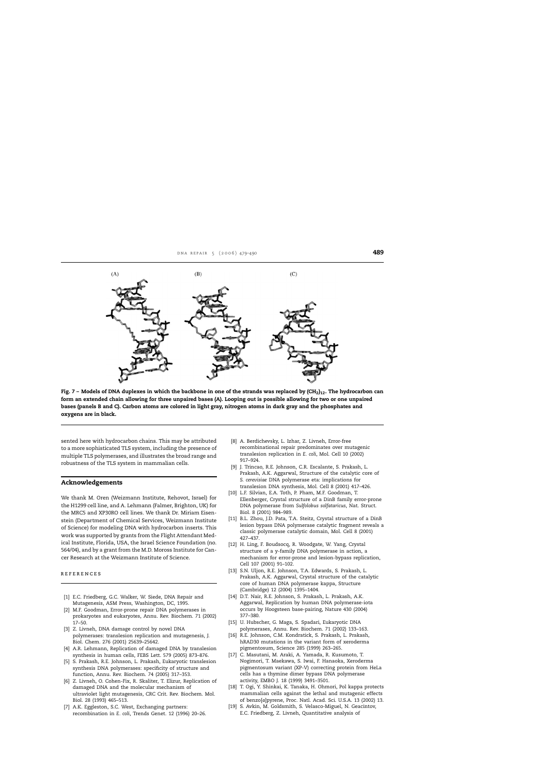<span id="page-10-0"></span>

Fig. 7 – Models of DNA duplexes in which the backbone in one of the strands was replaced by (CH<sub>2</sub>)<sub>12</sub>. The hydrocarbon can **form an extended chain allowing for three unpaired bases (A). Looping out is possible allowing for two or one unpaired bases (panels B and C). Carbon atoms are colored in light gray, nitrogen atoms in dark gray and the phosphates and oxygens are in black.**

sented here with hydrocarbon chains. This may be attributed to a more sophisticated TLS system, including the presence of multiple TLS polymerases, and illustrates the broad range and robustness of the TLS system in mammalian cells.

#### **Acknowledgements**

We thank M. Oren (Weizmann Institute, Rehovot, Israel) for the H1299 cell line, and A. Lehmann (Falmer, Brighton, UK) for the MRC5 and XP30RO cell lines. We thank Dr. Miriam Eisenstein (Department of Chemical Services, Weizmann Institute of Science) for modeling DNA with hydrocarbon inserts. This work was supported by grants from the Flight Attendant Medical Institute, Florida, USA, the Israel Science Foundation (no. 564/04), and by a grant from the M.D. Moross Institute for Cancer Research at the Weizmann Institute of Science.

#### references

- [1] E.C. Friedberg, G.C. Walker, W. Siede, DNA Repair and Mutagenesis, ASM Press, Washington, DC, 1995.
- [2] M.F. Goodman, Error-prone repair DNA polymerases in prokaryotes and eukaryotes, Annu. Rev. Biochem. 71 (2002) 17–50.
- [3] Z. Livneh, DNA damage control by novel DNA polymerases: translesion replication and mutagenesis, J. Biol. Chem. 276 (2001) 25639–25642.
- [4] A.R. Lehmann, Replication of damaged DNA by translesion synthesis in human cells, FEBS Lett. 579 (2005) 873–876.
- [5] S. Prakash, R.E. Johnson, L. Prakash, Eukaryotic translesion synthesis DNA polymerases: specificity of structure and function, Annu. Rev. Biochem. 74 (2005) 317–353.
- [6] Z. Livneh, O. Cohen-Fix, R. Skaliter, T. Elizur, Replication of damaged DNA and the molecular mechanism of ultraviolet light mutagenesis, CRC Crit. Rev. Biochem. Mol. Biol. 28 (1993) 465–513.
- [7] A.K. Eggleston, S.C. West, Exchanging partners: recombination in *E. coli*, Trends Genet. 12 (1996) 20–26.
- [8] A. Berdichevsky, L. Izhar, Z. Livneh, Error-free recombinational repair predominates over mutagenic translesion replication in *E. coli*, Mol. Cell 10 (2002) 917–924.
- [9] J. Trincao, R.E. Johnson, C.R. Escalante, S. Prakash, L. Prakash, A.K. Aggarwal, Structure of the catalytic core of *S. cerevisiae* DNA polymerase eta: implications for translesion DNA synthesis, Mol. Cell 8 (2001) 417–426.
- [10] L.F. Silvian, E.A. Toth, P. Pham, M.F. Goodman, T. Ellenberger, Crystal structure of a DinB family error-prone DNA polymerase from *Sulfolobus solfataricus*, Nat. Struct. Biol. 8 (2001) 984–989.
- [11] B.L. Zhou, J.D. Pata, T.A. Steitz, Crystal structure of a DinB lesion bypass DNA polymerase catalytic fragment reveals a classic polymerase catalytic domain, Mol. Cell 8 (2001) 427–437.
- [12] H. Ling, F. Boudsocq, R. Woodgate, W. Yang, Crystal structure of a y-family DNA polymerase in action, a mechanism for error-prone and lesion-bypass replication, Cell 107 (2001) 91–102.
- [13] S.N. Uljon, R.E. Johnson, T.A. Edwards, S. Prakash, L. Prakash, A.K. Aggarwal, Crystal structure of the catalytic core of human DNA polymerase kappa, Structure (Cambridge) 12 (2004) 1395–1404.
- [14] D.T. Nair, R.E. Johnson, S. Prakash, L. Prakash, A.K. Aggarwal, Replication by human DNA polymerase-iota occurs by Hoogsteen base-pairing, Nature 430 (2004) 377–380.
- [15] U. Hubscher, G. Maga, S. Spadari, Eukaryotic DNA polymerases, Annu. Rev. Biochem. 71 (2002) 133–163.
- [16] R.E. Johnson, C.M. Kondratick, S. Prakash, L. Prakash, hRAD30 mutations in the variant form of xeroderma pigmentosum, Science 285 (1999) 263–265.
- [17] C. Masutani, M. Araki, A. Yamada, R. Kusumoto, T. Nogimori, T. Maekawa, S. Iwai, F. Hanaoka, Xeroderma pigmentosum variant (XP-V) correcting protein from HeLa cells has a thymine dimer bypass DNA polymerase activity, EMBO J. 18 (1999) 3491–3501.
- [18] T. Ogi, Y. Shinkai, K. Tanaka, H. Ohmori, Pol kappa protects mammalian cells against the lethal and mutagenic effects of benzo[*a*]pyrene, Proc. Natl. Acad. Sci. U.S.A. 13 (2002) 13.
- [19] S. Avkin, M. Goldsmith, S. Velasco-Miguel, N. Geacintov, E.C. Friedberg, Z. Livneh, Quantitative analysis of